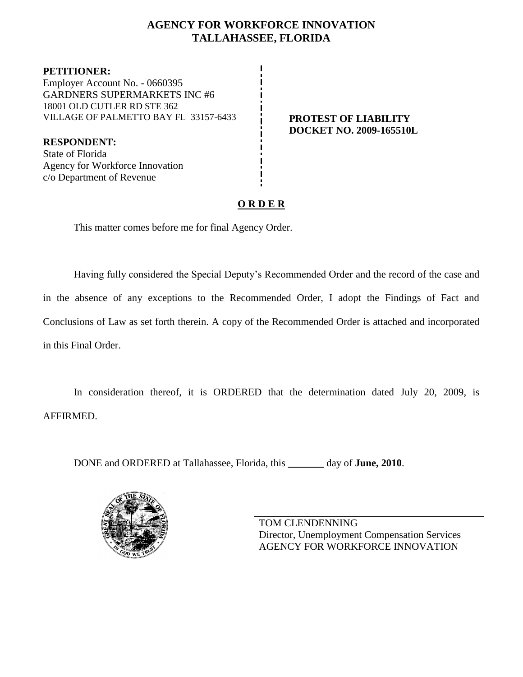### **AGENCY FOR WORKFORCE INNOVATION TALLAHASSEE, FLORIDA**

**PETITIONER:** Employer Account No. - 0660395 GARDNERS SUPERMARKETS INC #6 18001 OLD CUTLER RD STE 362 VILLAGE OF PALMETTO BAY FL 33157-6433 **PROTEST OF LIABILITY**

**RESPONDENT:** State of Florida Agency for Workforce Innovation c/o Department of Revenue

# **DOCKET NO. 2009-165510L**

## **O R D E R**

This matter comes before me for final Agency Order.

Having fully considered the Special Deputy's Recommended Order and the record of the case and in the absence of any exceptions to the Recommended Order, I adopt the Findings of Fact and Conclusions of Law as set forth therein. A copy of the Recommended Order is attached and incorporated in this Final Order.

In consideration thereof, it is ORDERED that the determination dated July 20, 2009, is AFFIRMED.

DONE and ORDERED at Tallahassee, Florida, this **\_\_\_\_\_\_\_** day of **June, 2010**.



TOM CLENDENNING Director, Unemployment Compensation Services AGENCY FOR WORKFORCE INNOVATION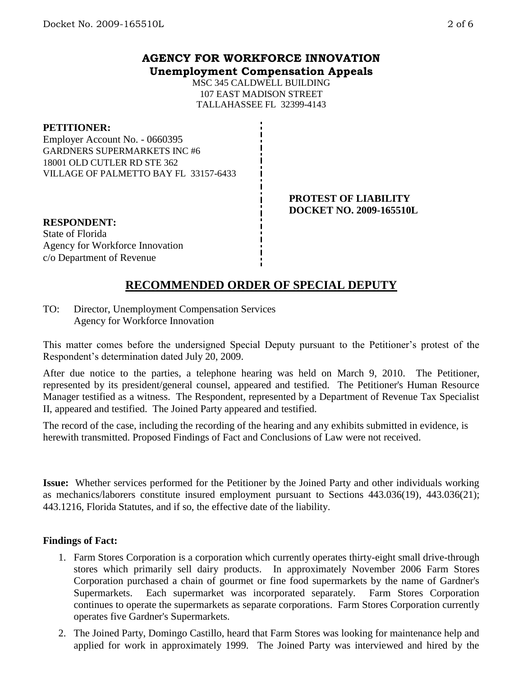#### **AGENCY FOR WORKFORCE INNOVATION Unemployment Compensation Appeals**

MSC 345 CALDWELL BUILDING 107 EAST MADISON STREET TALLAHASSEE FL 32399-4143

#### **PETITIONER:**

Employer Account No. - 0660395 GARDNERS SUPERMARKETS INC #6 18001 OLD CUTLER RD STE 362 VILLAGE OF PALMETTO BAY FL 33157-6433

> **PROTEST OF LIABILITY DOCKET NO. 2009-165510L**

**RESPONDENT:** State of Florida Agency for Workforce Innovation c/o Department of Revenue

## **RECOMMENDED ORDER OF SPECIAL DEPUTY**

TO: Director, Unemployment Compensation Services Agency for Workforce Innovation

This matter comes before the undersigned Special Deputy pursuant to the Petitioner's protest of the Respondent's determination dated July 20, 2009.

After due notice to the parties, a telephone hearing was held on March 9, 2010. The Petitioner, represented by its president/general counsel, appeared and testified. The Petitioner's Human Resource Manager testified as a witness. The Respondent, represented by a Department of Revenue Tax Specialist II, appeared and testified. The Joined Party appeared and testified.

The record of the case, including the recording of the hearing and any exhibits submitted in evidence, is herewith transmitted. Proposed Findings of Fact and Conclusions of Law were not received.

**Issue:** Whether services performed for the Petitioner by the Joined Party and other individuals working as mechanics/laborers constitute insured employment pursuant to Sections 443.036(19), 443.036(21); 443.1216, Florida Statutes, and if so, the effective date of the liability.

#### **Findings of Fact:**

- 1. Farm Stores Corporation is a corporation which currently operates thirty-eight small drive-through stores which primarily sell dairy products. In approximately November 2006 Farm Stores Corporation purchased a chain of gourmet or fine food supermarkets by the name of Gardner's Supermarkets. Each supermarket was incorporated separately. Farm Stores Corporation continues to operate the supermarkets as separate corporations. Farm Stores Corporation currently operates five Gardner's Supermarkets.
- 2. The Joined Party, Domingo Castillo, heard that Farm Stores was looking for maintenance help and applied for work in approximately 1999. The Joined Party was interviewed and hired by the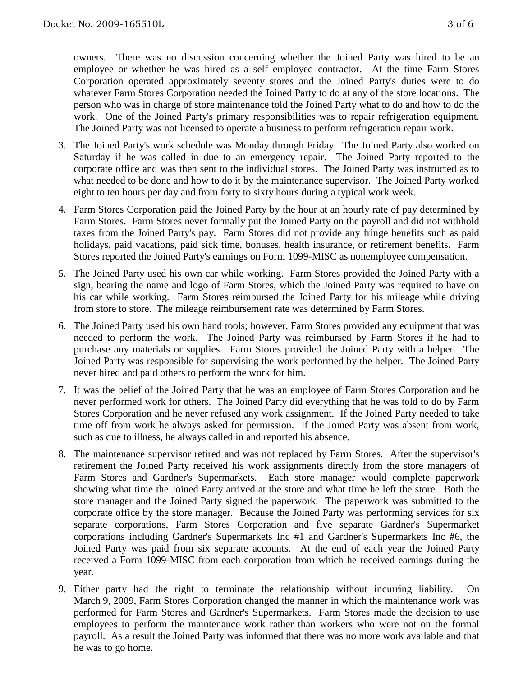owners. There was no discussion concerning whether the Joined Party was hired to be an employee or whether he was hired as a self employed contractor. At the time Farm Stores Corporation operated approximately seventy stores and the Joined Party's duties were to do whatever Farm Stores Corporation needed the Joined Party to do at any of the store locations. The person who was in charge of store maintenance told the Joined Party what to do and how to do the work. One of the Joined Party's primary responsibilities was to repair refrigeration equipment. The Joined Party was not licensed to operate a business to perform refrigeration repair work.

- 3. The Joined Party's work schedule was Monday through Friday. The Joined Party also worked on Saturday if he was called in due to an emergency repair. The Joined Party reported to the corporate office and was then sent to the individual stores. The Joined Party was instructed as to what needed to be done and how to do it by the maintenance supervisor. The Joined Party worked eight to ten hours per day and from forty to sixty hours during a typical work week.
- 4. Farm Stores Corporation paid the Joined Party by the hour at an hourly rate of pay determined by Farm Stores. Farm Stores never formally put the Joined Party on the payroll and did not withhold taxes from the Joined Party's pay. Farm Stores did not provide any fringe benefits such as paid holidays, paid vacations, paid sick time, bonuses, health insurance, or retirement benefits. Farm Stores reported the Joined Party's earnings on Form 1099-MISC as nonemployee compensation.
- 5. The Joined Party used his own car while working. Farm Stores provided the Joined Party with a sign, bearing the name and logo of Farm Stores, which the Joined Party was required to have on his car while working. Farm Stores reimbursed the Joined Party for his mileage while driving from store to store. The mileage reimbursement rate was determined by Farm Stores.
- 6. The Joined Party used his own hand tools; however, Farm Stores provided any equipment that was needed to perform the work. The Joined Party was reimbursed by Farm Stores if he had to purchase any materials or supplies. Farm Stores provided the Joined Party with a helper. The Joined Party was responsible for supervising the work performed by the helper. The Joined Party never hired and paid others to perform the work for him.
- 7. It was the belief of the Joined Party that he was an employee of Farm Stores Corporation and he never performed work for others. The Joined Party did everything that he was told to do by Farm Stores Corporation and he never refused any work assignment. If the Joined Party needed to take time off from work he always asked for permission. If the Joined Party was absent from work, such as due to illness, he always called in and reported his absence.
- 8. The maintenance supervisor retired and was not replaced by Farm Stores. After the supervisor's retirement the Joined Party received his work assignments directly from the store managers of Farm Stores and Gardner's Supermarkets. Each store manager would complete paperwork showing what time the Joined Party arrived at the store and what time he left the store. Both the store manager and the Joined Party signed the paperwork. The paperwork was submitted to the corporate office by the store manager. Because the Joined Party was performing services for six separate corporations, Farm Stores Corporation and five separate Gardner's Supermarket corporations including Gardner's Supermarkets Inc #1 and Gardner's Supermarkets Inc #6, the Joined Party was paid from six separate accounts. At the end of each year the Joined Party received a Form 1099-MISC from each corporation from which he received earnings during the year.
- 9. Either party had the right to terminate the relationship without incurring liability. March 9, 2009, Farm Stores Corporation changed the manner in which the maintenance work was performed for Farm Stores and Gardner's Supermarkets. Farm Stores made the decision to use employees to perform the maintenance work rather than workers who were not on the formal payroll. As a result the Joined Party was informed that there was no more work available and that he was to go home.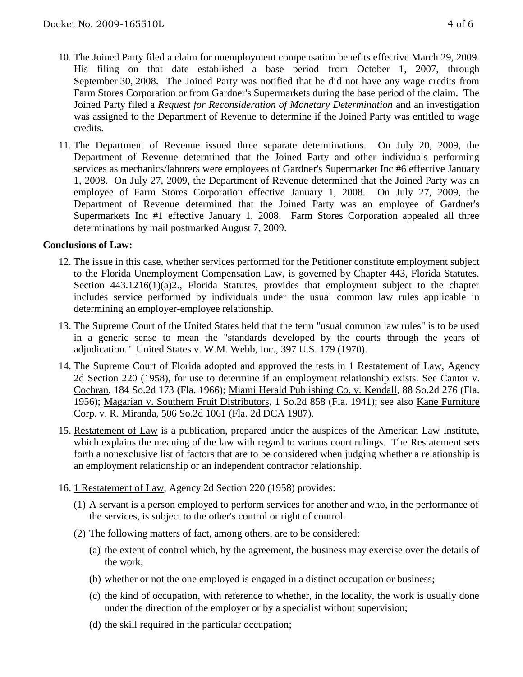- 10. The Joined Party filed a claim for unemployment compensation benefits effective March 29, 2009. His filing on that date established a base period from October 1, 2007, through September 30, 2008. The Joined Party was notified that he did not have any wage credits from Farm Stores Corporation or from Gardner's Supermarkets during the base period of the claim. The Joined Party filed a *Request for Reconsideration of Monetary Determination* and an investigation was assigned to the Department of Revenue to determine if the Joined Party was entitled to wage credits.
- 11. The Department of Revenue issued three separate determinations. On July 20, 2009, the Department of Revenue determined that the Joined Party and other individuals performing services as mechanics/laborers were employees of Gardner's Supermarket Inc #6 effective January 1, 2008. On July 27, 2009, the Department of Revenue determined that the Joined Party was an employee of Farm Stores Corporation effective January 1, 2008. On July 27, 2009, the Department of Revenue determined that the Joined Party was an employee of Gardner's Supermarkets Inc #1 effective January 1, 2008. Farm Stores Corporation appealed all three determinations by mail postmarked August 7, 2009.

#### **Conclusions of Law:**

- 12. The issue in this case, whether services performed for the Petitioner constitute employment subject to the Florida Unemployment Compensation Law, is governed by Chapter 443, Florida Statutes. Section 443.1216(1)(a)2., Florida Statutes, provides that employment subject to the chapter includes service performed by individuals under the usual common law rules applicable in determining an employer-employee relationship.
- 13. The Supreme Court of the United States held that the term "usual common law rules" is to be used in a generic sense to mean the "standards developed by the courts through the years of adjudication." United States v. W.M. Webb, Inc., 397 U.S. 179 (1970).
- 14. The Supreme Court of Florida adopted and approved the tests in 1 Restatement of Law, Agency 2d Section 220 (1958), for use to determine if an employment relationship exists. See Cantor v. Cochran, 184 So.2d 173 (Fla. 1966); Miami Herald Publishing Co. v. Kendall, 88 So.2d 276 (Fla. 1956); Magarian v. Southern Fruit Distributors, 1 So.2d 858 (Fla. 1941); see also Kane Furniture Corp. v. R. Miranda, 506 So.2d 1061 (Fla. 2d DCA 1987).
- 15. Restatement of Law is a publication, prepared under the auspices of the American Law Institute, which explains the meaning of the law with regard to various court rulings. The Restatement sets forth a nonexclusive list of factors that are to be considered when judging whether a relationship is an employment relationship or an independent contractor relationship.
- 16. 1 Restatement of Law, Agency 2d Section 220 (1958) provides:
	- (1) A servant is a person employed to perform services for another and who, in the performance of the services, is subject to the other's control or right of control.
	- (2) The following matters of fact, among others, are to be considered:
		- (a) the extent of control which, by the agreement, the business may exercise over the details of the work;
		- (b) whether or not the one employed is engaged in a distinct occupation or business;
		- (c) the kind of occupation, with reference to whether, in the locality, the work is usually done under the direction of the employer or by a specialist without supervision;
		- (d) the skill required in the particular occupation;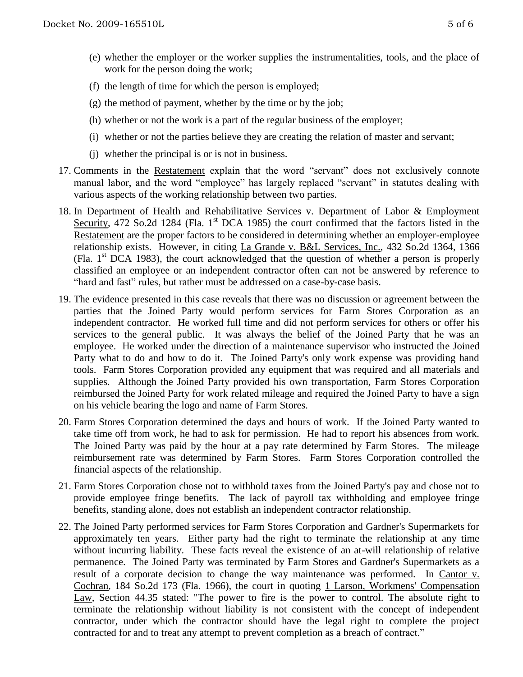- (e) whether the employer or the worker supplies the instrumentalities, tools, and the place of work for the person doing the work;
- (f) the length of time for which the person is employed;
- (g) the method of payment, whether by the time or by the job;
- (h) whether or not the work is a part of the regular business of the employer;
- (i) whether or not the parties believe they are creating the relation of master and servant;
- (j) whether the principal is or is not in business.
- 17. Comments in the Restatement explain that the word "servant" does not exclusively connote manual labor, and the word "employee" has largely replaced "servant" in statutes dealing with various aspects of the working relationship between two parties.
- 18. In Department of Health and Rehabilitative Services v. Department of Labor & Employment Security, 472 So.2d 1284 (Fla.  $1<sup>st</sup>$  DCA 1985) the court confirmed that the factors listed in the Restatement are the proper factors to be considered in determining whether an employer-employee relationship exists. However, in citing La Grande v. B&L Services, Inc., 432 So.2d 1364, 1366 (Fla.  $1<sup>st</sup>$  DCA 1983), the court acknowledged that the question of whether a person is properly classified an employee or an independent contractor often can not be answered by reference to "hard and fast" rules, but rather must be addressed on a case-by-case basis.
- 19. The evidence presented in this case reveals that there was no discussion or agreement between the parties that the Joined Party would perform services for Farm Stores Corporation as an independent contractor. He worked full time and did not perform services for others or offer his services to the general public. It was always the belief of the Joined Party that he was an employee. He worked under the direction of a maintenance supervisor who instructed the Joined Party what to do and how to do it. The Joined Party's only work expense was providing hand tools. Farm Stores Corporation provided any equipment that was required and all materials and supplies. Although the Joined Party provided his own transportation, Farm Stores Corporation reimbursed the Joined Party for work related mileage and required the Joined Party to have a sign on his vehicle bearing the logo and name of Farm Stores.
- 20. Farm Stores Corporation determined the days and hours of work. If the Joined Party wanted to take time off from work, he had to ask for permission. He had to report his absences from work. The Joined Party was paid by the hour at a pay rate determined by Farm Stores. The mileage reimbursement rate was determined by Farm Stores. Farm Stores Corporation controlled the financial aspects of the relationship.
- 21. Farm Stores Corporation chose not to withhold taxes from the Joined Party's pay and chose not to provide employee fringe benefits. The lack of payroll tax withholding and employee fringe benefits, standing alone, does not establish an independent contractor relationship.
- 22. The Joined Party performed services for Farm Stores Corporation and Gardner's Supermarkets for approximately ten years. Either party had the right to terminate the relationship at any time without incurring liability. These facts reveal the existence of an at-will relationship of relative permanence. The Joined Party was terminated by Farm Stores and Gardner's Supermarkets as a result of a corporate decision to change the way maintenance was performed. In Cantor v. Cochran, 184 So.2d 173 (Fla. 1966), the court in quoting 1 Larson, Workmens' Compensation Law, Section 44.35 stated: "The power to fire is the power to control. The absolute right to terminate the relationship without liability is not consistent with the concept of independent contractor, under which the contractor should have the legal right to complete the project contracted for and to treat any attempt to prevent completion as a breach of contract."